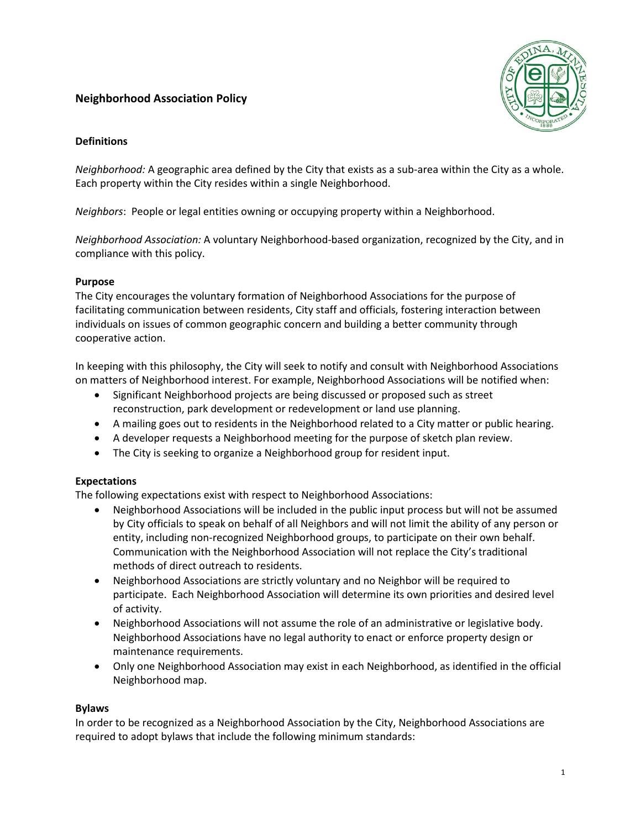# **Neighborhood Association Policy**



## **Definitions**

*Neighborhood:* A geographic area defined by the City that exists as a sub-area within the City as a whole. Each property within the City resides within a single Neighborhood.

*Neighbors*: People or legal entities owning or occupying property within a Neighborhood.

*Neighborhood Association:* A voluntary Neighborhood-based organization, recognized by the City, and in compliance with this policy.

## **Purpose**

The City encourages the voluntary formation of Neighborhood Associations for the purpose of facilitating communication between residents, City staff and officials, fostering interaction between individuals on issues of common geographic concern and building a better community through cooperative action.

In keeping with this philosophy, the City will seek to notify and consult with Neighborhood Associations on matters of Neighborhood interest. For example, Neighborhood Associations will be notified when:

- Significant Neighborhood projects are being discussed or proposed such as street reconstruction, park development or redevelopment or land use planning.
- A mailing goes out to residents in the Neighborhood related to a City matter or public hearing.
- A developer requests a Neighborhood meeting for the purpose of sketch plan review.
- The City is seeking to organize a Neighborhood group for resident input.

# **Expectations**

The following expectations exist with respect to Neighborhood Associations:

- Neighborhood Associations will be included in the public input process but will not be assumed by City officials to speak on behalf of all Neighbors and will not limit the ability of any person or entity, including non-recognized Neighborhood groups, to participate on their own behalf. Communication with the Neighborhood Association will not replace the City's traditional methods of direct outreach to residents.
- Neighborhood Associations are strictly voluntary and no Neighbor will be required to participate. Each Neighborhood Association will determine its own priorities and desired level of activity.
- Neighborhood Associations will not assume the role of an administrative or legislative body. Neighborhood Associations have no legal authority to enact or enforce property design or maintenance requirements.
- Only one Neighborhood Association may exist in each Neighborhood, as identified in the official Neighborhood map.

### **Bylaws**

In order to be recognized as a Neighborhood Association by the City, Neighborhood Associations are required to adopt bylaws that include the following minimum standards: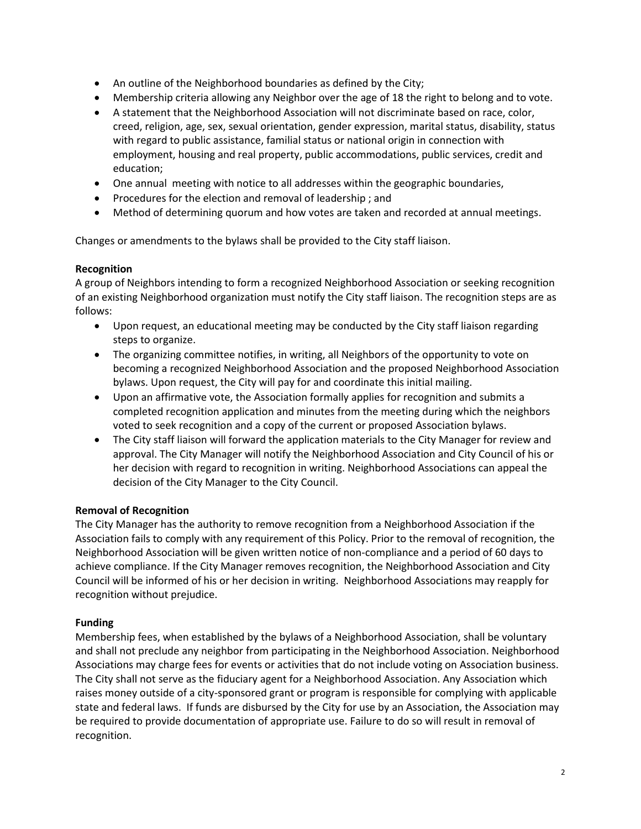- An outline of the Neighborhood boundaries as defined by the City;
- Membership criteria allowing any Neighbor over the age of 18 the right to belong and to vote.
- A statement that the Neighborhood Association will not discriminate based on race, color, creed, religion, age, sex, sexual orientation, gender expression, marital status, disability, status with regard to public assistance, familial status or national origin in connection with employment, housing and real property, public accommodations, public services, credit and education;
- One annual meeting with notice to all addresses within the geographic boundaries,
- Procedures for the election and removal of leadership; and
- Method of determining quorum and how votes are taken and recorded at annual meetings.

Changes or amendments to the bylaws shall be provided to the City staff liaison.

## **Recognition**

A group of Neighbors intending to form a recognized Neighborhood Association or seeking recognition of an existing Neighborhood organization must notify the City staff liaison. The recognition steps are as follows:

- Upon request, an educational meeting may be conducted by the City staff liaison regarding steps to organize.
- The organizing committee notifies, in writing, all Neighbors of the opportunity to vote on becoming a recognized Neighborhood Association and the proposed Neighborhood Association bylaws. Upon request, the City will pay for and coordinate this initial mailing.
- Upon an affirmative vote, the Association formally applies for recognition and submits a completed recognition application and minutes from the meeting during which the neighbors voted to seek recognition and a copy of the current or proposed Association bylaws.
- The City staff liaison will forward the application materials to the City Manager for review and approval. The City Manager will notify the Neighborhood Association and City Council of his or her decision with regard to recognition in writing. Neighborhood Associations can appeal the decision of the City Manager to the City Council.

# **Removal of Recognition**

The City Manager has the authority to remove recognition from a Neighborhood Association if the Association fails to comply with any requirement of this Policy. Prior to the removal of recognition, the Neighborhood Association will be given written notice of non-compliance and a period of 60 days to achieve compliance. If the City Manager removes recognition, the Neighborhood Association and City Council will be informed of his or her decision in writing. Neighborhood Associations may reapply for recognition without prejudice.

# **Funding**

Membership fees, when established by the bylaws of a Neighborhood Association, shall be voluntary and shall not preclude any neighbor from participating in the Neighborhood Association. Neighborhood Associations may charge fees for events or activities that do not include voting on Association business. The City shall not serve as the fiduciary agent for a Neighborhood Association. Any Association which raises money outside of a city-sponsored grant or program is responsible for complying with applicable state and federal laws. If funds are disbursed by the City for use by an Association, the Association may be required to provide documentation of appropriate use. Failure to do so will result in removal of recognition.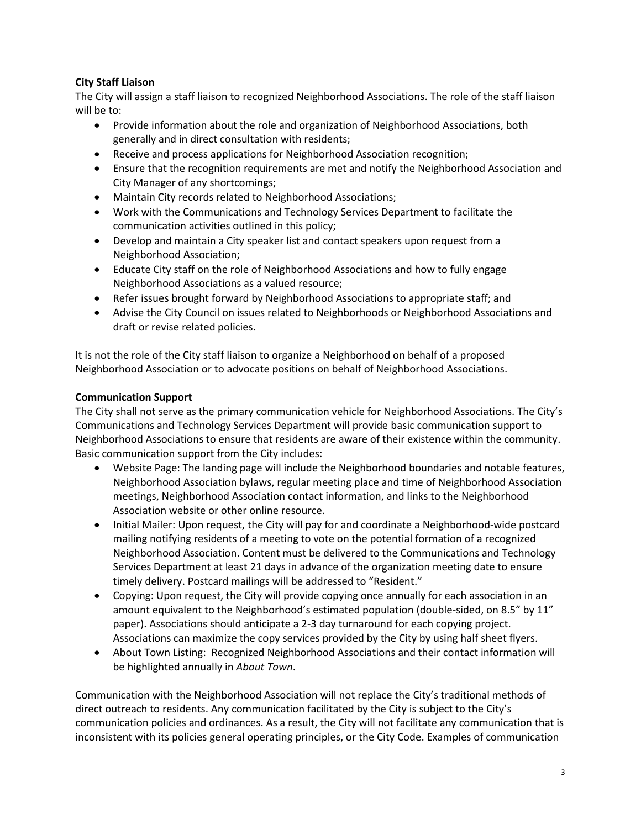# **City Staff Liaison**

The City will assign a staff liaison to recognized Neighborhood Associations. The role of the staff liaison will be to:

- Provide information about the role and organization of Neighborhood Associations, both generally and in direct consultation with residents;
- Receive and process applications for Neighborhood Association recognition;
- Ensure that the recognition requirements are met and notify the Neighborhood Association and City Manager of any shortcomings;
- Maintain City records related to Neighborhood Associations;
- Work with the Communications and Technology Services Department to facilitate the communication activities outlined in this policy;
- Develop and maintain a City speaker list and contact speakers upon request from a Neighborhood Association;
- Educate City staff on the role of Neighborhood Associations and how to fully engage Neighborhood Associations as a valued resource;
- Refer issues brought forward by Neighborhood Associations to appropriate staff; and
- Advise the City Council on issues related to Neighborhoods or Neighborhood Associations and draft or revise related policies.

It is not the role of the City staff liaison to organize a Neighborhood on behalf of a proposed Neighborhood Association or to advocate positions on behalf of Neighborhood Associations.

## **Communication Support**

The City shall not serve as the primary communication vehicle for Neighborhood Associations. The City's Communications and Technology Services Department will provide basic communication support to Neighborhood Associations to ensure that residents are aware of their existence within the community. Basic communication support from the City includes:

- Website Page: The landing page will include the Neighborhood boundaries and notable features, Neighborhood Association bylaws, regular meeting place and time of Neighborhood Association meetings, Neighborhood Association contact information, and links to the Neighborhood Association website or other online resource.
- Initial Mailer: Upon request, the City will pay for and coordinate a Neighborhood-wide postcard mailing notifying residents of a meeting to vote on the potential formation of a recognized Neighborhood Association. Content must be delivered to the Communications and Technology Services Department at least 21 days in advance of the organization meeting date to ensure timely delivery. Postcard mailings will be addressed to "Resident."
- Copying: Upon request, the City will provide copying once annually for each association in an amount equivalent to the Neighborhood's estimated population (double-sided, on 8.5" by 11" paper). Associations should anticipate a 2-3 day turnaround for each copying project. Associations can maximize the copy services provided by the City by using half sheet flyers.
- About Town Listing: Recognized Neighborhood Associations and their contact information will be highlighted annually in *About Town*.

Communication with the Neighborhood Association will not replace the City's traditional methods of direct outreach to residents. Any communication facilitated by the City is subject to the City's communication policies and ordinances. As a result, the City will not facilitate any communication that is inconsistent with its policies general operating principles, or the City Code. Examples of communication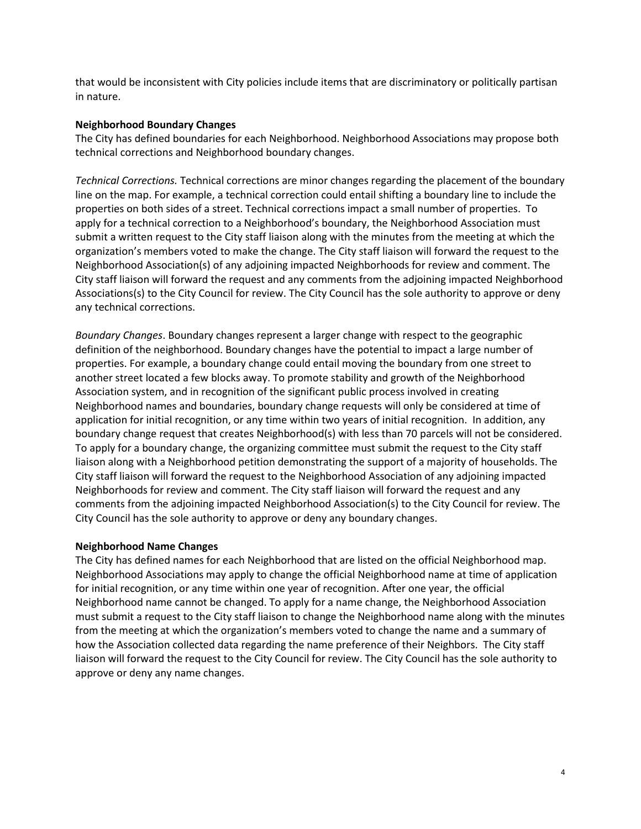that would be inconsistent with City policies include items that are discriminatory or politically partisan in nature.

#### **Neighborhood Boundary Changes**

The City has defined boundaries for each Neighborhood. Neighborhood Associations may propose both technical corrections and Neighborhood boundary changes.

*Technical Corrections.* Technical corrections are minor changes regarding the placement of the boundary line on the map. For example, a technical correction could entail shifting a boundary line to include the properties on both sides of a street. Technical corrections impact a small number of properties. To apply for a technical correction to a Neighborhood's boundary, the Neighborhood Association must submit a written request to the City staff liaison along with the minutes from the meeting at which the organization's members voted to make the change. The City staff liaison will forward the request to the Neighborhood Association(s) of any adjoining impacted Neighborhoods for review and comment. The City staff liaison will forward the request and any comments from the adjoining impacted Neighborhood Associations(s) to the City Council for review. The City Council has the sole authority to approve or deny any technical corrections.

*Boundary Changes*. Boundary changes represent a larger change with respect to the geographic definition of the neighborhood. Boundary changes have the potential to impact a large number of properties. For example, a boundary change could entail moving the boundary from one street to another street located a few blocks away. To promote stability and growth of the Neighborhood Association system, and in recognition of the significant public process involved in creating Neighborhood names and boundaries, boundary change requests will only be considered at time of application for initial recognition, or any time within two years of initial recognition. In addition, any boundary change request that creates Neighborhood(s) with less than 70 parcels will not be considered. To apply for a boundary change, the organizing committee must submit the request to the City staff liaison along with a Neighborhood petition demonstrating the support of a majority of households. The City staff liaison will forward the request to the Neighborhood Association of any adjoining impacted Neighborhoods for review and comment. The City staff liaison will forward the request and any comments from the adjoining impacted Neighborhood Association(s) to the City Council for review. The City Council has the sole authority to approve or deny any boundary changes.

### **Neighborhood Name Changes**

The City has defined names for each Neighborhood that are listed on the official Neighborhood map. Neighborhood Associations may apply to change the official Neighborhood name at time of application for initial recognition, or any time within one year of recognition. After one year, the official Neighborhood name cannot be changed. To apply for a name change, the Neighborhood Association must submit a request to the City staff liaison to change the Neighborhood name along with the minutes from the meeting at which the organization's members voted to change the name and a summary of how the Association collected data regarding the name preference of their Neighbors. The City staff liaison will forward the request to the City Council for review. The City Council has the sole authority to approve or deny any name changes.